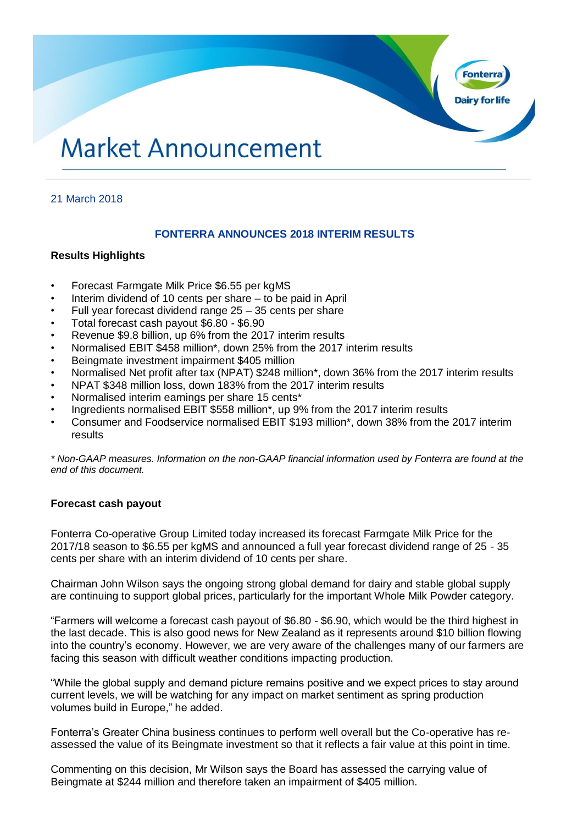# **Market Announcement**

# 21 March 2018

# **FONTERRA ANNOUNCES 2018 INTERIM RESULTS**

**Dairy for life** 

## **Results Highlights**

- Forecast Farmgate Milk Price \$6.55 per kgMS
- Interim dividend of 10 cents per share to be paid in April
- Full year forecast dividend range  $25 35$  cents per share
- Total forecast cash payout \$6.80 \$6.90
- Revenue \$9.8 billion, up 6% from the 2017 interim results
- Normalised EBIT \$458 million\*, down 25% from the 2017 interim results
- Beingmate investment impairment \$405 million
- Normalised Net profit after tax (NPAT) \$248 million\*, down 36% from the 2017 interim results
- NPAT \$348 million loss, down 183% from the 2017 interim results
- Normalised interim earnings per share 15 cents\*
- Ingredients normalised EBIT \$558 million\*, up 9% from the 2017 interim results
- Consumer and Foodservice normalised EBIT \$193 million\*, down 38% from the 2017 interim results

*\* Non-GAAP measures. Information on the non-GAAP financial information used by Fonterra are found at the end of this document.*

## **Forecast cash payout**

Fonterra Co-operative Group Limited today increased its forecast Farmgate Milk Price for the 2017/18 season to \$6.55 per kgMS and announced a full year forecast dividend range of 25 - 35 cents per share with an interim dividend of 10 cents per share.

Chairman John Wilson says the ongoing strong global demand for dairy and stable global supply are continuing to support global prices, particularly for the important Whole Milk Powder category.

"Farmers will welcome a forecast cash payout of \$6.80 - \$6.90, which would be the third highest in the last decade. This is also good news for New Zealand as it represents around \$10 billion flowing into the country's economy. However, we are very aware of the challenges many of our farmers are facing this season with difficult weather conditions impacting production.

"While the global supply and demand picture remains positive and we expect prices to stay around current levels, we will be watching for any impact on market sentiment as spring production volumes build in Europe," he added.

Fonterra's Greater China business continues to perform well overall but the Co-operative has reassessed the value of its Beingmate investment so that it reflects a fair value at this point in time.

Commenting on this decision, Mr Wilson says the Board has assessed the carrying value of Beingmate at \$244 million and therefore taken an impairment of \$405 million.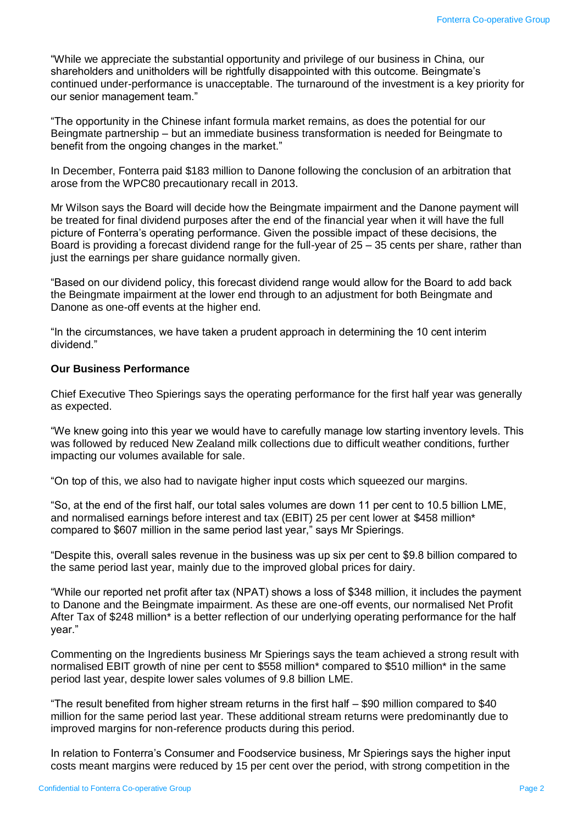"While we appreciate the substantial opportunity and privilege of our business in China, our shareholders and unitholders will be rightfully disappointed with this outcome. Beingmate's continued under-performance is unacceptable. The turnaround of the investment is a key priority for our senior management team."

"The opportunity in the Chinese infant formula market remains, as does the potential for our Beingmate partnership – but an immediate business transformation is needed for Beingmate to benefit from the ongoing changes in the market."

In December, Fonterra paid \$183 million to Danone following the conclusion of an arbitration that arose from the WPC80 precautionary recall in 2013.

Mr Wilson says the Board will decide how the Beingmate impairment and the Danone payment will be treated for final dividend purposes after the end of the financial year when it will have the full picture of Fonterra's operating performance. Given the possible impact of these decisions, the Board is providing a forecast dividend range for the full-year of 25 – 35 cents per share, rather than just the earnings per share guidance normally given.

"Based on our dividend policy, this forecast dividend range would allow for the Board to add back the Beingmate impairment at the lower end through to an adjustment for both Beingmate and Danone as one-off events at the higher end.

"In the circumstances, we have taken a prudent approach in determining the 10 cent interim dividend."

#### **Our Business Performance**

Chief Executive Theo Spierings says the operating performance for the first half year was generally as expected.

"We knew going into this year we would have to carefully manage low starting inventory levels. This was followed by reduced New Zealand milk collections due to difficult weather conditions, further impacting our volumes available for sale.

"On top of this, we also had to navigate higher input costs which squeezed our margins.

"So, at the end of the first half, our total sales volumes are down 11 per cent to 10.5 billion LME, and normalised earnings before interest and tax (EBIT) 25 per cent lower at \$458 million\* compared to \$607 million in the same period last year," says Mr Spierings.

"Despite this, overall sales revenue in the business was up six per cent to \$9.8 billion compared to the same period last year, mainly due to the improved global prices for dairy.

"While our reported net profit after tax (NPAT) shows a loss of \$348 million, it includes the payment to Danone and the Beingmate impairment. As these are one-off events, our normalised Net Profit After Tax of \$248 million\* is a better reflection of our underlying operating performance for the half year."

Commenting on the Ingredients business Mr Spierings says the team achieved a strong result with normalised EBIT growth of nine per cent to \$558 million\* compared to \$510 million\* in the same period last year, despite lower sales volumes of 9.8 billion LME.

"The result benefited from higher stream returns in the first half – \$90 million compared to \$40 million for the same period last year. These additional stream returns were predominantly due to improved margins for non-reference products during this period.

In relation to Fonterra's Consumer and Foodservice business, Mr Spierings says the higher input costs meant margins were reduced by 15 per cent over the period, with strong competition in the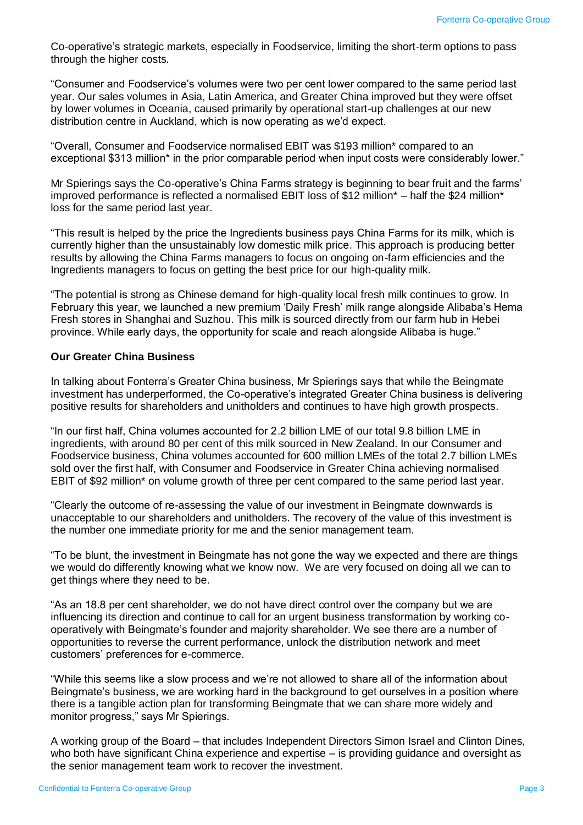Co-operative's strategic markets, especially in Foodservice, limiting the short-term options to pass through the higher costs.

"Consumer and Foodservice's volumes were two per cent lower compared to the same period last year. Our sales volumes in Asia, Latin America, and Greater China improved but they were offset by lower volumes in Oceania, caused primarily by operational start-up challenges at our new distribution centre in Auckland, which is now operating as we'd expect.

"Overall, Consumer and Foodservice normalised EBIT was \$193 million\* compared to an exceptional \$313 million<sup>\*</sup> in the prior comparable period when input costs were considerably lower."

Mr Spierings says the Co-operative's China Farms strategy is beginning to bear fruit and the farms' improved performance is reflected a normalised EBIT loss of \$12 million\* – half the \$24 million\* loss for the same period last year.

"This result is helped by the price the Ingredients business pays China Farms for its milk, which is currently higher than the unsustainably low domestic milk price. This approach is producing better results by allowing the China Farms managers to focus on ongoing on-farm efficiencies and the Ingredients managers to focus on getting the best price for our high-quality milk.

"The potential is strong as Chinese demand for high-quality local fresh milk continues to grow. In February this year, we launched a new premium 'Daily Fresh' milk range alongside Alibaba's Hema Fresh stores in Shanghai and Suzhou. This milk is sourced directly from our farm hub in Hebei province. While early days, the opportunity for scale and reach alongside Alibaba is huge."

#### **Our Greater China Business**

In talking about Fonterra's Greater China business, Mr Spierings says that while the Beingmate investment has underperformed, the Co-operative's integrated Greater China business is delivering positive results for shareholders and unitholders and continues to have high growth prospects.

"In our first half, China volumes accounted for 2.2 billion LME of our total 9.8 billion LME in ingredients, with around 80 per cent of this milk sourced in New Zealand. In our Consumer and Foodservice business, China volumes accounted for 600 million LMEs of the total 2.7 billion LMEs sold over the first half, with Consumer and Foodservice in Greater China achieving normalised EBIT of \$92 million\* on volume growth of three per cent compared to the same period last year.

"Clearly the outcome of re-assessing the value of our investment in Beingmate downwards is unacceptable to our shareholders and unitholders. The recovery of the value of this investment is the number one immediate priority for me and the senior management team.

"To be blunt, the investment in Beingmate has not gone the way we expected and there are things we would do differently knowing what we know now. We are very focused on doing all we can to get things where they need to be.

"As an 18.8 per cent shareholder, we do not have direct control over the company but we are influencing its direction and continue to call for an urgent business transformation by working cooperatively with Beingmate's founder and majority shareholder. We see there are a number of opportunities to reverse the current performance, unlock the distribution network and meet customers' preferences for e-commerce.

"While this seems like a slow process and we're not allowed to share all of the information about Beingmate's business, we are working hard in the background to get ourselves in a position where there is a tangible action plan for transforming Beingmate that we can share more widely and monitor progress," says Mr Spierings.

A working group of the Board – that includes Independent Directors Simon Israel and Clinton Dines, who both have significant China experience and expertise – is providing guidance and oversight as the senior management team work to recover the investment.